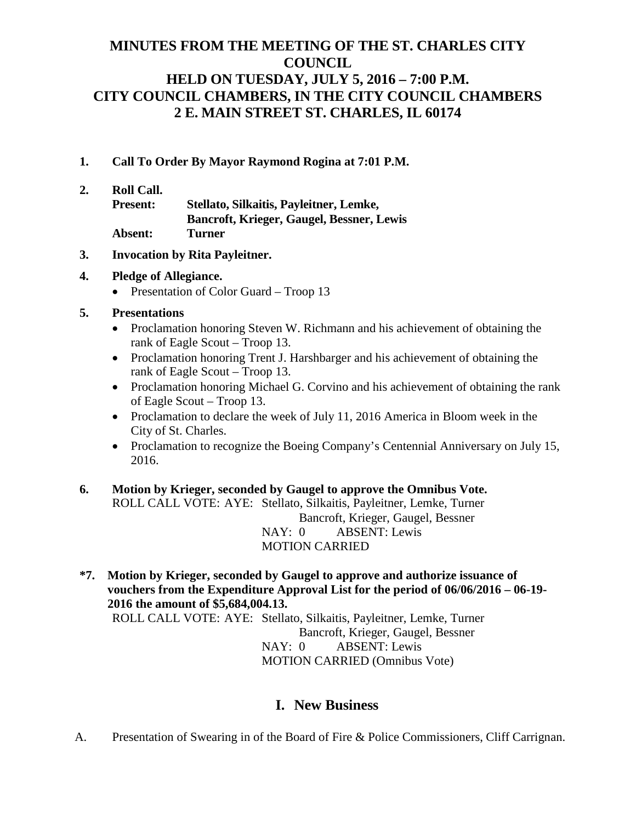# **MINUTES FROM THE MEETING OF THE ST. CHARLES CITY COUNCIL HELD ON TUESDAY, JULY 5, 2016 – 7:00 P.M. CITY COUNCIL CHAMBERS, IN THE CITY COUNCIL CHAMBERS 2 E. MAIN STREET ST. CHARLES, IL 60174**

- **1. Call To Order By Mayor Raymond Rogina at 7:01 P.M.**
- **2. Roll Call. Present: Stellato, Silkaitis, Payleitner, Lemke, Bancroft, Krieger, Gaugel, Bessner, Lewis Absent: Turner**

#### **3. Invocation by Rita Payleitner.**

#### **4. Pledge of Allegiance.**

• Presentation of Color Guard – Troop 13

#### **5. Presentations**

- Proclamation honoring Steven W. Richmann and his achievement of obtaining the rank of Eagle Scout – Troop 13.
- Proclamation honoring Trent J. Harshbarger and his achievement of obtaining the rank of Eagle Scout – Troop 13.
- Proclamation honoring Michael G. Corvino and his achievement of obtaining the rank of Eagle Scout – Troop 13.
- Proclamation to declare the week of July 11, 2016 America in Bloom week in the City of St. Charles.
- Proclamation to recognize the Boeing Company's Centennial Anniversary on July 15, 2016.
- **6. Motion by Krieger, seconded by Gaugel to approve the Omnibus Vote.** ROLL CALL VOTE: AYE: Stellato, Silkaitis, Payleitner, Lemke, Turner Bancroft, Krieger, Gaugel, Bessner NAY: 0 ABSENT: Lewis MOTION CARRIED

**\*7. Motion by Krieger, seconded by Gaugel to approve and authorize issuance of vouchers from the Expenditure Approval List for the period of 06/06/2016 – 06-19- 2016 the amount of \$5,684,004.13.** ROLL CALL VOTE: AYE: Stellato, Silkaitis, Payleitner, Lemke, Turner Bancroft, Krieger, Gaugel, Bessner NAY: 0 ABSENT: Lewis MOTION CARRIED (Omnibus Vote)

# **I. New Business**

A. Presentation of Swearing in of the Board of Fire & Police Commissioners, Cliff Carrignan.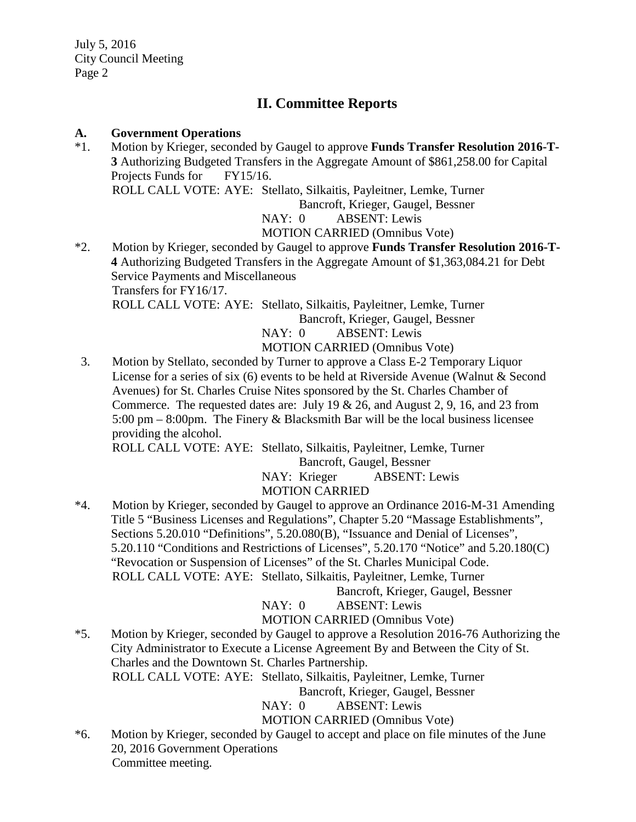July 5, 2016 City Council Meeting Page 2

# **II. Committee Reports**

#### **A. Government Operations**

\*1. Motion by Krieger, seconded by Gaugel to approve **Funds Transfer Resolution 2016-T-3** Authorizing Budgeted Transfers in the Aggregate Amount of \$861,258.00 for Capital Projects Funds for FY15/16. ROLL CALL VOTE: AYE: Stellato, Silkaitis, Payleitner, Lemke, Turner

Bancroft, Krieger, Gaugel, Bessner

NAY: 0 ABSENT: Lewis

MOTION CARRIED (Omnibus Vote)

\*2. Motion by Krieger, seconded by Gaugel to approve **Funds Transfer Resolution 2016-T-4** Authorizing Budgeted Transfers in the Aggregate Amount of \$1,363,084.21 for Debt Service Payments and Miscellaneous Transfers for FY16/17. ROLL CALL VOTE: AYE: Stellato, Silkaitis, Payleitner, Lemke, Turner

Bancroft, Krieger, Gaugel, Bessner

NAY: 0 ABSENT: Lewis

MOTION CARRIED (Omnibus Vote)

3. Motion by Stellato, seconded by Turner to approve a Class E-2 Temporary Liquor License for a series of six (6) events to be held at Riverside Avenue (Walnut & Second Avenues) for St. Charles Cruise Nites sponsored by the St. Charles Chamber of Commerce. The requested dates are: July 19  $& 26$ , and August 2, 9, 16, and 23 from 5:00 pm  $-$  8:00pm. The Finery & Blacksmith Bar will be the local business licensee providing the alcohol.

ROLL CALL VOTE: AYE: Stellato, Silkaitis, Payleitner, Lemke, Turner

Bancroft, Gaugel, Bessner

NAY: Krieger ABSENT: Lewis

# MOTION CARRIED

\*4. Motion by Krieger, seconded by Gaugel to approve an Ordinance 2016-M-31 Amending Title 5 "Business Licenses and Regulations", Chapter 5.20 "Massage Establishments", Sections 5.20.010 "Definitions", 5.20.080(B), "Issuance and Denial of Licenses", 5.20.110 "Conditions and Restrictions of Licenses", 5.20.170 "Notice" and 5.20.180(C) "Revocation or Suspension of Licenses" of the St. Charles Municipal Code. ROLL CALL VOTE: AYE: Stellato, Silkaitis, Payleitner, Lemke, Turner

Bancroft, Krieger, Gaugel, Bessner

NAY: 0 ABSENT: Lewis MOTION CARRIED (Omnibus Vote)

\*5. Motion by Krieger, seconded by Gaugel to approve a Resolution 2016-76 Authorizing the City Administrator to Execute a License Agreement By and Between the City of St. Charles and the Downtown St. Charles Partnership. ROLL CALL VOTE: AYE: Stellato, Silkaitis, Payleitner, Lemke, Turner

Bancroft, Krieger, Gaugel, Bessner

NAY: 0 ABSENT: Lewis

MOTION CARRIED (Omnibus Vote)

\*6. Motion by Krieger, seconded by Gaugel to accept and place on file minutes of the June 20, 2016 Government Operations Committee meeting.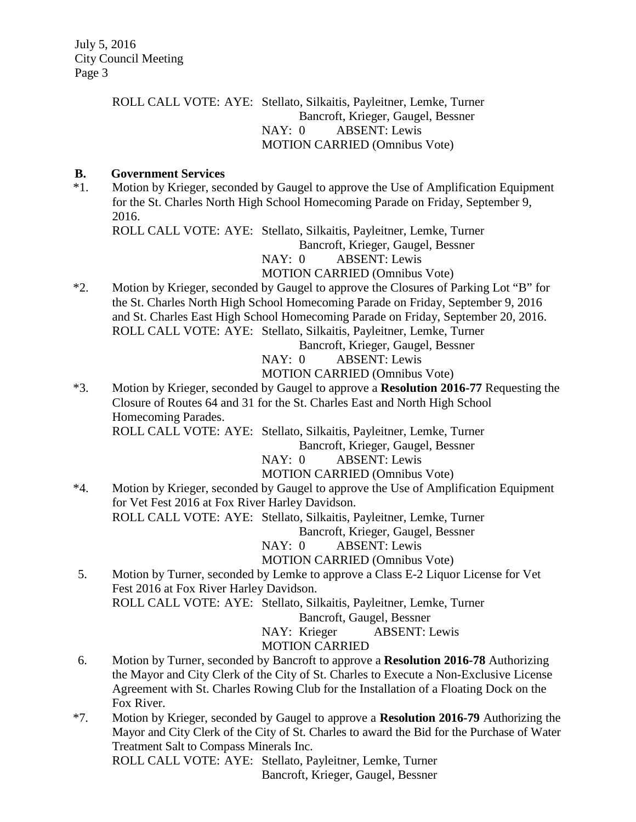July 5, 2016 City Council Meeting Page 3

> ROLL CALL VOTE: AYE: Stellato, Silkaitis, Payleitner, Lemke, Turner Bancroft, Krieger, Gaugel, Bessner NAY: 0 ABSENT: Lewis MOTION CARRIED (Omnibus Vote)

#### **B. Government Services**

\*1. Motion by Krieger, seconded by Gaugel to approve the Use of Amplification Equipment for the St. Charles North High School Homecoming Parade on Friday, September 9, 2016.

ROLL CALL VOTE: AYE: Stellato, Silkaitis, Payleitner, Lemke, Turner

Bancroft, Krieger, Gaugel, Bessner

NAY: 0 ABSENT: Lewis

# MOTION CARRIED (Omnibus Vote)

\*2. Motion by Krieger, seconded by Gaugel to approve the Closures of Parking Lot "B" for the St. Charles North High School Homecoming Parade on Friday, September 9, 2016 and St. Charles East High School Homecoming Parade on Friday, September 20, 2016. ROLL CALL VOTE: AYE: Stellato, Silkaitis, Payleitner, Lemke, Turner

Bancroft, Krieger, Gaugel, Bessner

NAY: 0 ABSENT: Lewis

#### MOTION CARRIED (Omnibus Vote)

\*3. Motion by Krieger, seconded by Gaugel to approve a **Resolution 2016-77** Requesting the Closure of Routes 64 and 31 for the St. Charles East and North High School Homecoming Parades.

ROLL CALL VOTE: AYE: Stellato, Silkaitis, Payleitner, Lemke, Turner

Bancroft, Krieger, Gaugel, Bessner

NAY: 0 ABSENT: Lewis

MOTION CARRIED (Omnibus Vote)

\*4. Motion by Krieger, seconded by Gaugel to approve the Use of Amplification Equipment for Vet Fest 2016 at Fox River Harley Davidson. ROLL CALL VOTE: AYE: Stellato, Silkaitis, Payleitner, Lemke, Turner

Bancroft, Krieger, Gaugel, Bessner

NAY: 0 ABSENT: Lewis

MOTION CARRIED (Omnibus Vote)

5. Motion by Turner, seconded by Lemke to approve a Class E-2 Liquor License for Vet Fest 2016 at Fox River Harley Davidson.

ROLL CALL VOTE: AYE: Stellato, Silkaitis, Payleitner, Lemke, Turner

Bancroft, Gaugel, Bessner

NAY: Krieger ABSENT: Lewis

# MOTION CARRIED

- 6. Motion by Turner, seconded by Bancroft to approve a **Resolution 2016-78** Authorizing the Mayor and City Clerk of the City of St. Charles to Execute a Non-Exclusive License Agreement with St. Charles Rowing Club for the Installation of a Floating Dock on the Fox River.
- \*7. Motion by Krieger, seconded by Gaugel to approve a **Resolution 2016-79** Authorizing the Mayor and City Clerk of the City of St. Charles to award the Bid for the Purchase of Water Treatment Salt to Compass Minerals Inc.

ROLL CALL VOTE: AYE: Stellato, Payleitner, Lemke, Turner Bancroft, Krieger, Gaugel, Bessner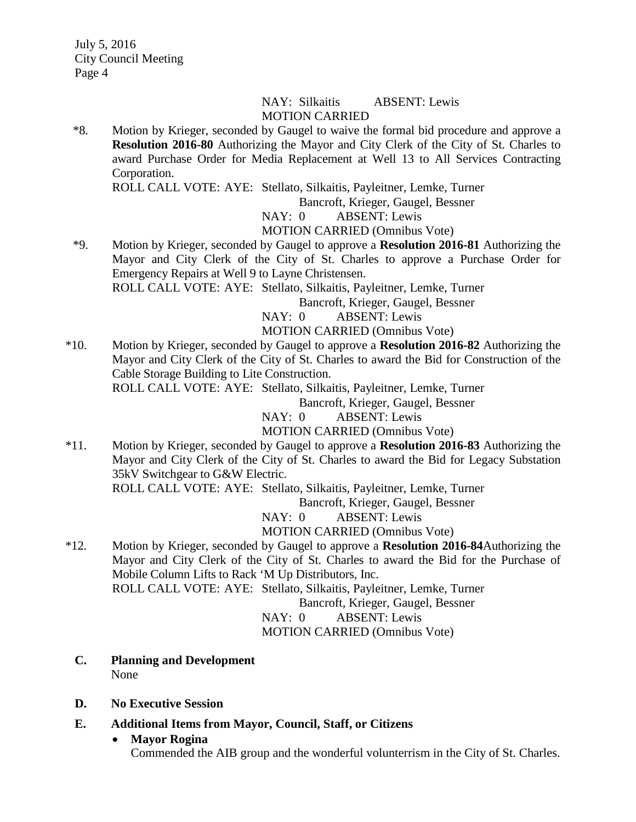#### NAY: Silkaitis ABSENT: Lewis MOTION CARRIED

\*8. Motion by Krieger, seconded by Gaugel to waive the formal bid procedure and approve a **Resolution 2016-80** Authorizing the Mayor and City Clerk of the City of St. Charles to award Purchase Order for Media Replacement at Well 13 to All Services Contracting Corporation.

ROLL CALL VOTE: AYE: Stellato, Silkaitis, Payleitner, Lemke, Turner

Bancroft, Krieger, Gaugel, Bessner

NAY: 0 ABSENT: Lewis

MOTION CARRIED (Omnibus Vote)

\*9. Motion by Krieger, seconded by Gaugel to approve a **Resolution 2016-81** Authorizing the Mayor and City Clerk of the City of St. Charles to approve a Purchase Order for Emergency Repairs at Well 9 to Layne Christensen.

ROLL CALL VOTE: AYE: Stellato, Silkaitis, Payleitner, Lemke, Turner

Bancroft, Krieger, Gaugel, Bessner

NAY: 0 ABSENT: Lewis

MOTION CARRIED (Omnibus Vote)

\*10. Motion by Krieger, seconded by Gaugel to approve a **Resolution 2016-82** Authorizing the Mayor and City Clerk of the City of St. Charles to award the Bid for Construction of the Cable Storage Building to Lite Construction.

ROLL CALL VOTE: AYE: Stellato, Silkaitis, Payleitner, Lemke, Turner

Bancroft, Krieger, Gaugel, Bessner

NAY: 0 ABSENT: Lewis

MOTION CARRIED (Omnibus Vote)

\*11. Motion by Krieger, seconded by Gaugel to approve a **Resolution 2016-83** Authorizing the Mayor and City Clerk of the City of St. Charles to award the Bid for Legacy Substation 35kV Switchgear to G&W Electric.

ROLL CALL VOTE: AYE: Stellato, Silkaitis, Payleitner, Lemke, Turner

Bancroft, Krieger, Gaugel, Bessner

NAY: 0 ABSENT: Lewis

MOTION CARRIED (Omnibus Vote)

\*12. Motion by Krieger, seconded by Gaugel to approve a **Resolution 2016-84**Authorizing the Mayor and City Clerk of the City of St. Charles to award the Bid for the Purchase of Mobile Column Lifts to Rack 'M Up Distributors, Inc. ROLL CALL VOTE: AYE: Stellato, Silkaitis, Payleitner, Lemke, Turner Bancroft, Krieger, Gaugel, Bessner

NAY: 0 ABSENT: Lewis

MOTION CARRIED (Omnibus Vote)

- **C. Planning and Development** None
- **D. No Executive Session**
- **E. Additional Items from Mayor, Council, Staff, or Citizens**
	- **Mayor Rogina** Commended the AIB group and the wonderful volunterrism in the City of St. Charles.